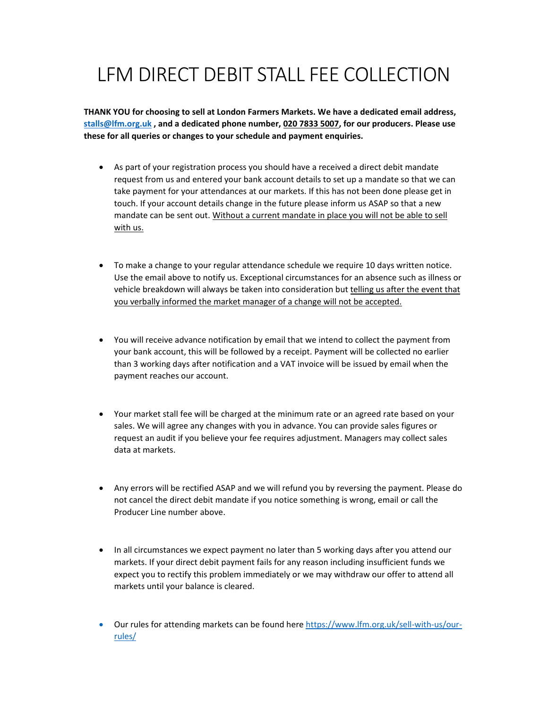## LFM DIRECT DEBIT STALL FEE COLLECTION

**THANK YOU for choosing to sell at London Farmers Markets. We have a dedicated email address, stalls@lfm.org.uk , and a dedicated phone number, 020 7833 5007, for our producers. Please use these for all queries or changes to your schedule and payment enquiries.**

- As part of your registration process you should have a received a direct debit mandate request from us and entered your bank account details to set up a mandate so that we can take payment for your attendances at our markets. If this has not been done please get in touch. If your account details change in the future please inform us ASAP so that a new mandate can be sent out. Without a current mandate in place you will not be able to sell with us.
- To make a change to your regular attendance schedule we require 10 days written notice. Use the email above to notify us. Exceptional circumstances for an absence such as illness or vehicle breakdown will always be taken into consideration but telling us after the event that you verbally informed the market manager of a change will not be accepted.
- You will receive advance notification by email that we intend to collect the payment from your bank account, this will be followed by a receipt. Payment will be collected no earlier than 3 working days after notification and a VAT invoice will be issued by email when the payment reaches our account.
- Your market stall fee will be charged at the minimum rate or an agreed rate based on your sales. We will agree any changes with you in advance. You can provide sales figures or request an audit if you believe your fee requires adjustment. Managers may collect sales data at markets.
- Any errors will be rectified ASAP and we will refund you by reversing the payment. Please do not cancel the direct debit mandate if you notice something is wrong, email or call the Producer Line number above.
- In all circumstances we expect payment no later than 5 working days after you attend our markets. If your direct debit payment fails for any reason including insufficient funds we expect you to rectify this problem immediately or we may withdraw our offer to attend all markets until your balance is cleared.
- Our rules for attending markets can be found here https://www.lfm.org.uk/sell-with-us/ourrules/